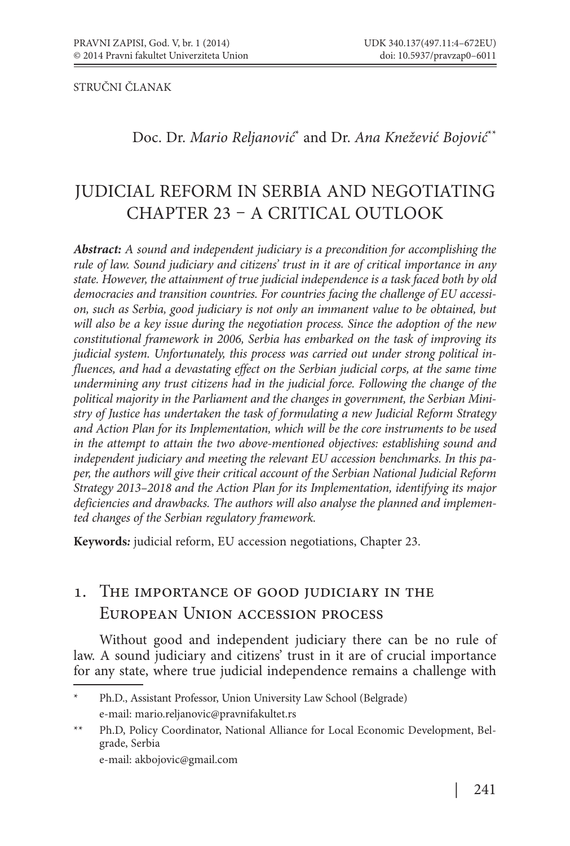STRUČNI ČLANAK

Doc. Dr. *Mario Reljanović*\* and Dr. *Ana Knežević Bojović*\*\*

# JUDICIAL REFORM IN SERBIA AND NEGOTIATING CHAPTER 23 - A CRITICAL OUTLOOK

*Abstract: A sound and independent judiciary is a precondition for accomplishing the rule of law. Sound judiciary and citizens' trust in it are of critical importance in any state. However, the attainment of true judicial independence is a task faced both by old democracies and transition countries. For countries facing the challenge of EU accession, such as Serbia, good judiciary is not only an immanent value to be obtained, but will also be a key issue during the negotiation process. Since the adoption of the new constitutional framework in 2006, Serbia has embarked on the task of improving its judicial system. Unfortunately, this process was carried out under strong political influences, and had a devastating effect on the Serbian judicial corps, at the same time undermining any trust citizens had in the judicial force. Following the change of the political majority in the Parliament and the changes in government, the Serbian Ministry of Justice has undertaken the task of formulating a new Judicial Reform Strategy and Action Plan for its Implementation, which will be the core instruments to be used in the attempt to attain the two above-mentioned objectives: establishing sound and independent judiciary and meeting the relevant EU accession benchmarks. In this paper, the authors will give their critical account of the Serbian National Judicial Reform Strategy 2013–2018 and the Action Plan for its Implementation, identifying its major deficiencies and drawbacks. The authors will also analyse the planned and implemented changes of the Serbian regulatory framework.*

**Keywords***:* judicial reform, EU accession negotiations, Chapter 23.

### . The importance of good judiciary in the European Union accession process

Without good and independent judiciary there can be no rule of law. A sound judiciary and citizens' trust in it are of crucial importance for any state, where true judicial independence remains a challenge with

e-mail: akbojovic@gmail.com

Ph.D., Assistant Professor, Union University Law School (Belgrade) e-mail: mario.reljanovic@pravnifakultet.rs

<sup>\*\*</sup> Ph.D, Policy Coordinator, National Alliance for Local Economic Development, Belgrade, Serbia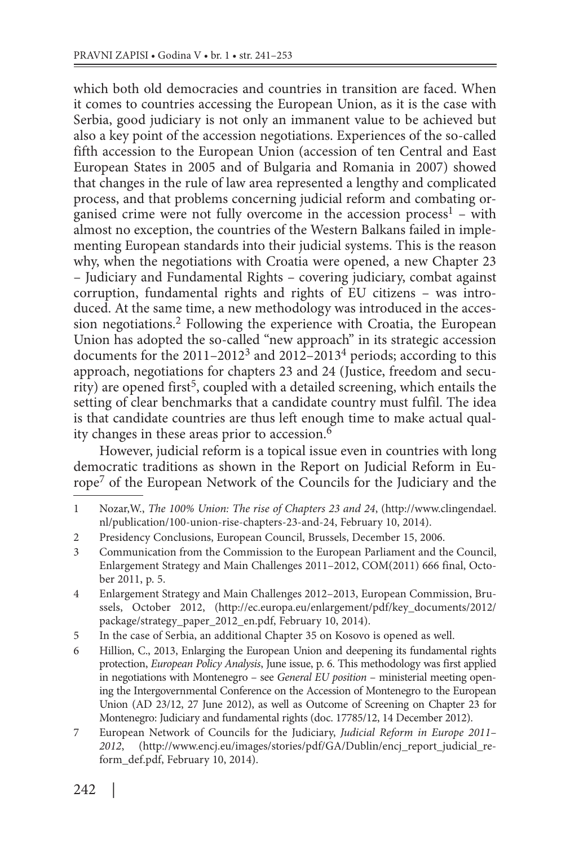which both old democracies and countries in transition are faced. When it comes to countries accessing the European Union, as it is the case with Serbia, good judiciary is not only an immanent value to be achieved but also a key point of the accession negotiations. Experiences of the so-called fifth accession to the European Union (accession of ten Central and East European States in 2005 and of Bulgaria and Romania in 2007) showed that changes in the rule of law area represented a lengthy and complicated process, and that problems concerning judicial reform and combating organised crime were not fully overcome in the accession process<sup>1</sup> – with almost no exception, the countries of the Western Balkans failed in implementing European standards into their judicial systems. This is the reason why, when the negotiations with Croatia were opened, a new Chapter 23 – Judiciary and Fundamental Rights – covering judiciary, combat against corruption, fundamental rights and rights of EU citizens – was introduced. At the same time, a new methodology was introduced in the accession negotiations.2 Following the experience with Croatia, the European Union has adopted the so-called "new approach" in its strategic accession documents for the  $2011-2012^3$  and  $2012-2013^4$  periods; according to this approach, negotiations for chapters 23 and 24 (Justice, freedom and security) are opened first<sup>5</sup>, coupled with a detailed screening, which entails the setting of clear benchmarks that a candidate country must fulfil. The idea is that candidate countries are thus left enough time to make actual quality changes in these areas prior to accession.6

However, judicial reform is a topical issue even in countries with long democratic traditions as shown in the Report on Judicial Reform in Europe7 of the European Network of the Councils for the Judiciary and the

<sup>1</sup> Nozar,W., *The 100% Union: The rise of Chapters 23 and 24*, (http://www.clingendael. nl/publication/100-union-rise-chapters-23-and-24, February 10, 2014).

<sup>2</sup> Presidency Conclusions, European Council, Brussels, December 15, 2006.

<sup>3</sup> Communication from the Commission to the European Parliament and the Council, Enlargement Strategy and Main Challenges 2011–2012, COM(2011) 666 final, October 2011, p. 5.

<sup>4</sup> Enlargement Strategy and Main Challenges 2012–2013, European Commission, Brussels, October 2012, (http://ec.europa.eu/enlargement/pdf/key\_documents/2012/ package/strategy\_paper\_2012\_en.pdf, February 10, 2014).

<sup>5</sup> In the case of Serbia, an additional Chapter 35 on Kosovo is opened as well.

<sup>6</sup> Hillion, C., 2013, Enlarging the European Union and deepening its fundamental rights protection, *European Policy Analysis*, June issue, p. 6. This methodology was first applied in negotiations with Montenegro – see *General EU position* – ministerial meeting opening the Intergovernmental Conference on the Accession of Montenegro to the European Union (AD 23/12, 27 June 2012), as well as Outcome of Screening on Chapter 23 for Montenegro: Judiciary and fundamental rights (doc. 17785/12, 14 December 2012).

<sup>7</sup> European Network of Councils for the Judiciary, *Judicial Reform in Europe 2011– 2012*, (http://www.encj.eu/images/stories/pdf/GA/Dublin/encj\_report\_judicial\_reform\_def.pdf, February 10, 2014).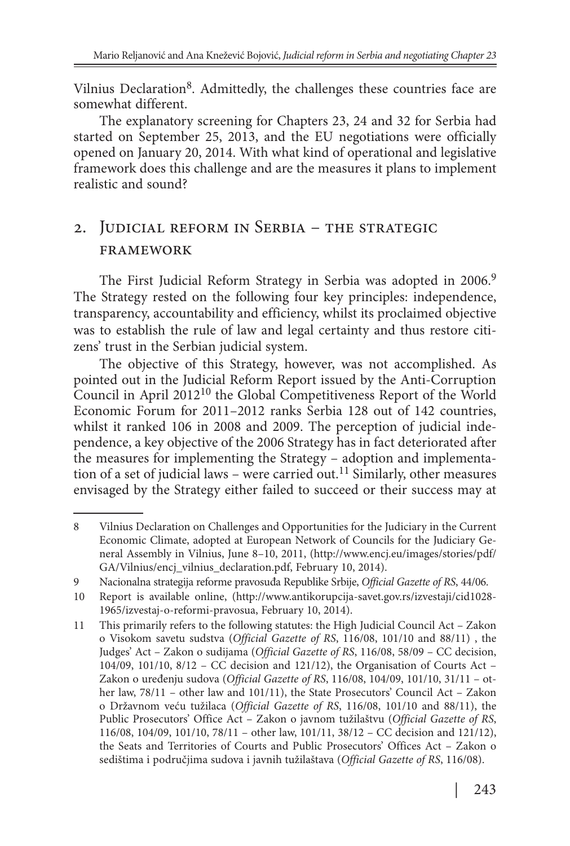Vilnius Declaration<sup>8</sup>. Admittedly, the challenges these countries face are somewhat different.

The explanatory screening for Chapters 23, 24 and 32 for Serbia had started on September 25, 2013, and the EU negotiations were officially opened on January 20, 2014. With what kind of operational and legislative framework does this challenge and are the measures it plans to implement realistic and sound?

## . Judicial reform in Serbia – the strategic framework

The First Judicial Reform Strategy in Serbia was adopted in 2006.<sup>9</sup> The Strategy rested on the following four key principles: independence, transparency, accountability and efficiency, whilst its proclaimed objective was to establish the rule of law and legal certainty and thus restore citizens' trust in the Serbian judicial system.

The objective of this Strategy, however, was not accomplished. As pointed out in the Judicial Reform Report issued by the Anti-Corruption Council in April 201210 the Global Competitiveness Report of the World Economic Forum for 2011–2012 ranks Serbia 128 out of 142 countries, whilst it ranked 106 in 2008 and 2009. The perception of judicial independence, a key objective of the 2006 Strategy has in fact deteriorated after the measures for implementing the Strategy – adoption and implementation of a set of judicial laws – were carried out.<sup>11</sup> Similarly, other measures envisaged by the Strategy either failed to succeed or their success may at

<sup>8</sup> Vilnius Declaration on Challenges and Opportunities for the Judiciary in the Current Economic Climate, adopted at European Network of Councils for the Judiciary General Assembly in Vilnius, June 8–10, 2011, (http://www.encj.eu/images/stories/pdf/ GA/Vilnius/encj\_vilnius\_declaration.pdf, February 10, 2014).

<sup>9</sup> Nacionalna strategija reforme pravosuđa Republike Srbije, *Official Gazette of RS*, 44/06.

<sup>10</sup> Report is available online, (http://www.antikorupcija-savet.gov.rs/izvestaji/cid1028- 1965/izvestaj-o-reformi-pravosua, February 10, 2014).

<sup>11</sup> This primarily refers to the following statutes: the High Judicial Council Act – Zakon o Visokom savetu sudstva (*Official Gazette of RS*, 116/08, 101/10 and 88/11) , the Judges' Act – Zakon o sudijama (*Official Gazette of RS*, 116/08, 58/09 – CC decision, 104/09, 101/10, 8/12 – CC decision and 121/12), the Organisation of Courts Act – Zakon o uređenju sudova (*Official Gazette of RS*, 116/08, 104/09, 101/10, 31/11 – other law, 78/11 – other law and 101/11), the State Prosecutors' Council Act – Zakon o Državnom veću tužilaca (*Official Gazette of RS*, 116/08, 101/10 and 88/11), the Public Prosecutors' Office Act – Zakon o javnom tužilaštvu (*Official Gazette of RS*, 116/08, 104/09, 101/10, 78/11 – other law, 101/11, 38/12 – CC decision and 121/12), the Seats and Territories of Courts and Public Prosecutors' Offices Act – Zakon o sedištima i područjima sudova i javnih tužilaštava (*Official Gazette of RS*, 116/08).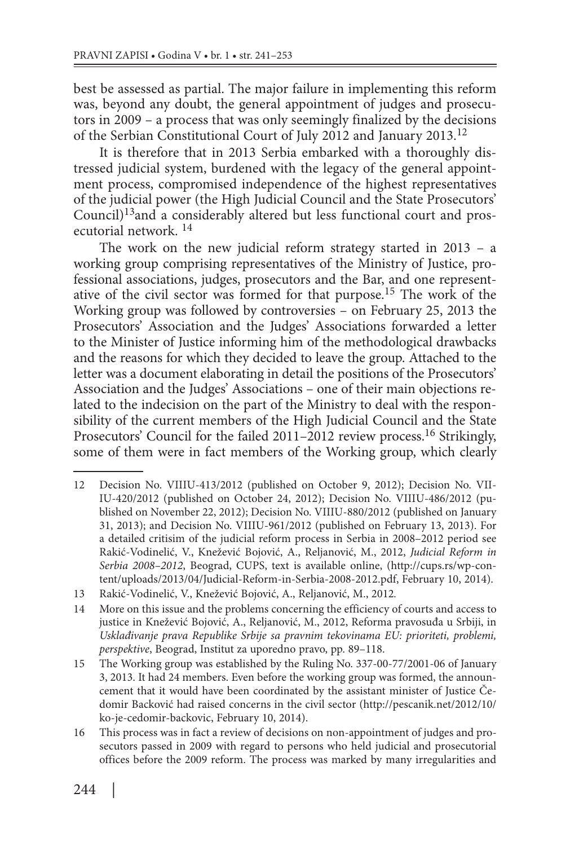best be assessed as partial. The major failure in implementing this reform was, beyond any doubt, the general appointment of judges and prosecutors in 2009 – a process that was only seemingly finalized by the decisions of the Serbian Constitutional Court of July 2012 and January 2013.<sup>12</sup>

It is therefore that in 2013 Serbia embarked with a thoroughly distressed judicial system, burdened with the legacy of the general appointment process, compromised independence of the highest representatives of the judicial power (the High Judicial Council and the State Prosecutors' Council)13and a considerably altered but less functional court and prosecutorial network. <sup>14</sup>

The work on the new judicial reform strategy started in 2013 – a working group comprising representatives of the Ministry of Justice, professional associations, judges, prosecutors and the Bar, and one representative of the civil sector was formed for that purpose.15 The work of the Working group was followed by controversies – on February 25, 2013 the Prosecutors' Association and the Judges' Associations forwarded a letter to the Minister of Justice informing him of the methodological drawbacks and the reasons for which they decided to leave the group. Attached to the letter was a document elaborating in detail the positions of the Prosecutors' Association and the Judges' Associations – one of their main objections related to the indecision on the part of the Ministry to deal with the responsibility of the current members of the High Judicial Council and the State Prosecutors' Council for the failed 2011–2012 review process.<sup>16</sup> Strikingly, some of them were in fact members of the Working group, which clearly

<sup>12</sup> Decision No. VIIIU-413/2012 (published on October 9, 2012); Decision No. VII-IU-420/2012 (published on October 24, 2012); Decision No. VIIIU-486/2012 (published on November 22, 2012); Decision No. VIIIU-880/2012 (published on January 31, 2013); and Decision No. VIIIU-961/2012 (published on February 13, 2013). For a detailed critisim of the judicial reform process in Serbia in 2008–2012 period see Rakić-Vodinelić, V., Knežević Bojović, A., Reljanović, M., 2012, *Judicial Reform in Serbia 2008–2012*, Beograd, CUPS, text is available online, (http://cups.rs/wp-content/uploads/2013/04/Judicial-Reform-in-Serbia-2008-2012.pdf, February 10, 2014).

<sup>13</sup> Rakić-Vodinelić, V., Knežević Bojović, A., Reljanović, M., 2012*.*

<sup>14</sup> More on this issue and the problems concerning the efficiency of courts and access to justice in Knežević Bojović, A., Reljanović, M., 2012, Reforma pravosuđa u Srbiji, in *Usklađivanje prava Republike Srbije sa pravnim tekovinama EU: prioriteti, problemi, perspektive*, Beograd, Institut za uporedno pravo, pp. 89–118.

<sup>15</sup> The Working group was established by the Ruling No. 337-00-77/2001-06 of January 3, 2013. It had 24 members. Even before the working group was formed, the announcement that it would have been coordinated by the assistant minister of Justice Čedomir Backović had raised concerns in the civil sector (http://pescanik.net/2012/10/ ko-je-cedomir-backovic, February 10, 2014).

<sup>16</sup> This process was in fact a review of decisions on non-appointment of judges and prosecutors passed in 2009 with regard to persons who held judicial and prosecutorial offices before the 2009 reform. The process was marked by many irregularities and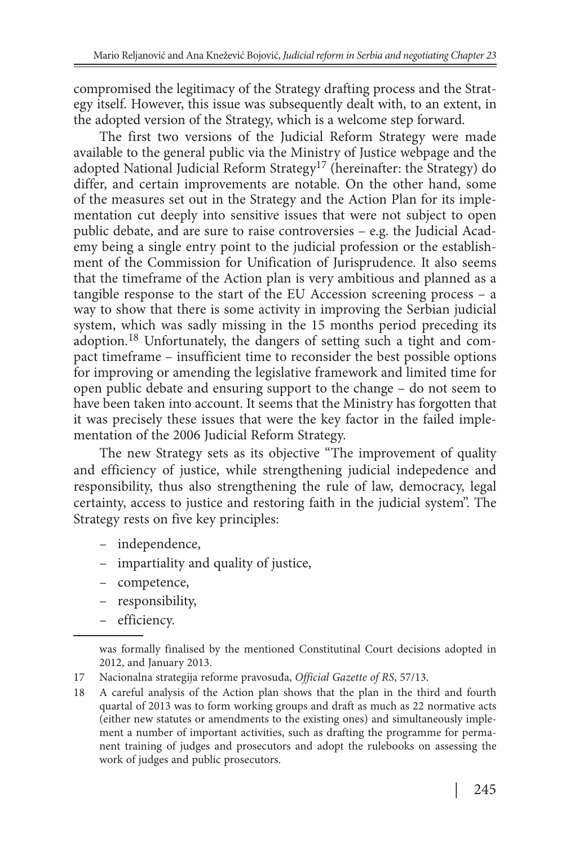compromised the legitimacy of the Strategy drafting process and the Strategy itself. However, this issue was subsequently dealt with, to an extent, in the adopted version of the Strategy, which is a welcome step forward.

The first two versions of the Judicial Reform Strategy were made available to the general public via the Ministry of Justice webpage and the adopted National Judicial Reform Strategy17 (hereinafter: the Strategy) do differ, and certain improvements are notable. On the other hand, some of the measures set out in the Strategy and the Action Plan for its implementation cut deeply into sensitive issues that were not subject to open public debate, and are sure to raise controversies – e.g. the Judicial Academy being a single entry point to the judicial profession or the establishment of the Commission for Unification of Jurisprudence. It also seems that the timeframe of the Action plan is very ambitious and planned as a tangible response to the start of the EU Accession screening process – a way to show that there is some activity in improving the Serbian judicial system, which was sadly missing in the 15 months period preceding its adoption.18 Unfortunately, the dangers of setting such a tight and compact timeframe – insufficient time to reconsider the best possible options for improving or amending the legislative framework and limited time for open public debate and ensuring support to the change – do not seem to have been taken into account. It seems that the Ministry has forgotten that it was precisely these issues that were the key factor in the failed implementation of the 2006 Judicial Reform Strategy.

The new Strategy sets as its objective "The improvement of quality and efficiency of justice, while strengthening judicial indepedence and responsibility, thus also strengthening the rule of law, democracy, legal certainty, access to justice and restoring faith in the judicial system". The Strategy rests on five key principles:

- independence,
- impartiality and quality of justice,
- competence,
- responsibility,
- efficiency.

was formally finalised by the mentioned Constitutinal Court decisions adopted in 2012, and January 2013.

<sup>17</sup> Nacionalna strategija reforme pravosuđa, *Official Gazette of RS*, 57/13.

<sup>18</sup> A careful analysis of the Action plan shows that the plan in the third and fourth quartal of 2013 was to form working groups and draft as much as 22 normative acts (either new statutes or amendments to the existing ones) and simultaneously implement a number of important activities, such as drafting the programme for permanent training of judges and prosecutors and adopt the rulebooks on assessing the work of judges and public prosecutors.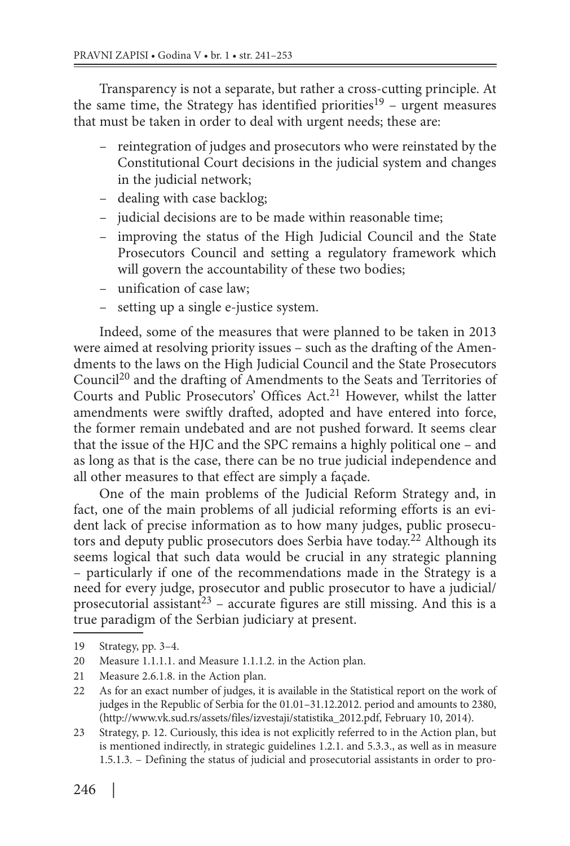Transparency is not a separate, but rather a cross-cutting principle. At the same time, the Strategy has identified priorities<sup>19</sup> – urgent measures that must be taken in order to deal with urgent needs; these are:

- reintegration of judges and prosecutors who were reinstated by the Constitutional Court decisions in the judicial system and changes in the judicial network;
- dealing with case backlog;
- judicial decisions are to be made within reasonable time;
- improving the status of the High Judicial Council and the State Prosecutors Council and setting a regulatory framework which will govern the accountability of these two bodies;
- unification of case law;
- setting up a single e-justice system.

Indeed, some of the measures that were planned to be taken in 2013 were aimed at resolving priority issues – such as the drafting of the Amendments to the laws on the High Judicial Council and the State Prosecutors Council20 and the drafting of Amendments to the Seats and Territories of Courts and Public Prosecutors' Offices Act.<sup>21</sup> However, whilst the latter amendments were swiftly drafted, adopted and have entered into force, the former remain undebated and are not pushed forward. It seems clear that the issue of the HJC and the SPC remains a highly political one – and as long as that is the case, there can be no true judicial independence and all other measures to that effect are simply a façade.

One of the main problems of the Judicial Reform Strategy and, in fact, one of the main problems of all judicial reforming efforts is an evident lack of precise information as to how many judges, public prosecutors and deputy public prosecutors does Serbia have today.22 Although its seems logical that such data would be crucial in any strategic planning – particularly if one of the recommendations made in the Strategy is a need for every judge, prosecutor and public prosecutor to have a judicial/ prosecutorial assistant<sup>23</sup> – accurate figures are still missing. And this is a true paradigm of the Serbian judiciary at present.

21 Measure 2.6.1.8. in the Action plan.

23 Strategy, p. 12. Curiously, this idea is not explicitly referred to in the Action plan, but is mentioned indirectly, in strategic guidelines 1.2.1. and 5.3.3., as well as in measure 1.5.1.3. – Defining the status of judicial and prosecutorial assistants in order to pro-

<sup>19</sup> Strategy, pp. 3–4.

<sup>20</sup> Measure 1.1.1.1. and Measure 1.1.1.2. in the Action plan.

<sup>22</sup> As for an exact number of judges, it is available in the Statistical report on the work of judges in the Republic of Serbia for the 01.01–31.12.2012. period and amounts to 2380, (http://www.vk.sud.rs/assets/files/izvestaji/statistika\_2012.pdf, February 10, 2014).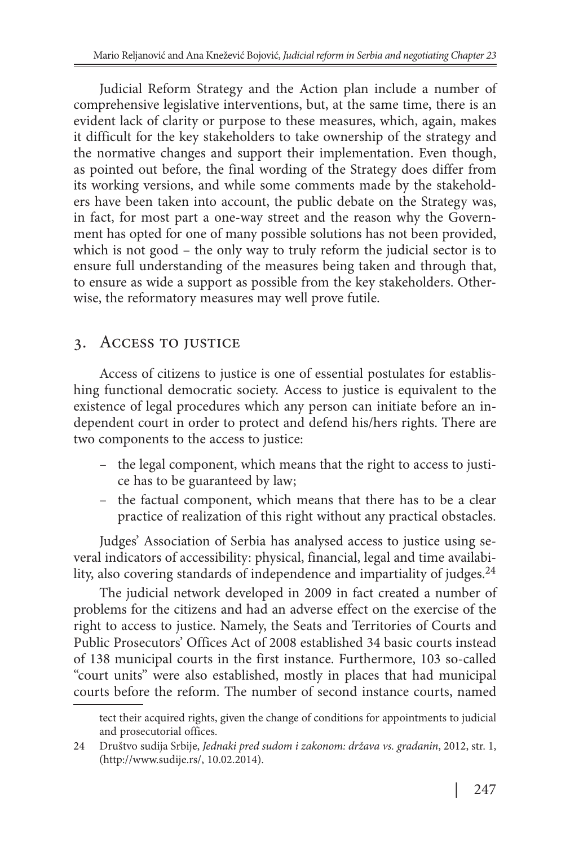Judicial Reform Strategy and the Action plan include a number of comprehensive legislative interventions, but, at the same time, there is an evident lack of clarity or purpose to these measures, which, again, makes it difficult for the key stakeholders to take ownership of the strategy and the normative changes and support their implementation. Even though, as pointed out before, the final wording of the Strategy does differ from its working versions, and while some comments made by the stakeholders have been taken into account, the public debate on the Strategy was, in fact, for most part a one-way street and the reason why the Government has opted for one of many possible solutions has not been provided, which is not good – the only way to truly reform the judicial sector is to ensure full understanding of the measures being taken and through that, to ensure as wide a support as possible from the key stakeholders. Otherwise, the reformatory measures may well prove futile.

### 3. ACCESS TO JUSTICE

Access of citizens to justice is one of essential postulates for establishing functional democratic society. Access to justice is equivalent to the existence of legal procedures which any person can initiate before an independent court in order to protect and defend his/hers rights. There are two components to the access to justice:

- the legal component, which means that the right to access to justice has to be guaranteed by law;
- the factual component, which means that there has to be a clear practice of realization of this right without any practical obstacles.

Judges' Association of Serbia has analysed access to justice using several indicators of accessibility: physical, financial, legal and time availability, also covering standards of independence and impartiality of judges.<sup>24</sup>

The judicial network developed in 2009 in fact created a number of problems for the citizens and had an adverse effect on the exercise of the right to access to justice. Namely, the Seats and Territories of Courts and Public Prosecutors' Offices Act of 2008 established 34 basic courts instead of 138 municipal courts in the first instance. Furthermore, 103 so-called "court units" were also established, mostly in places that had municipal courts before the reform. The number of second instance courts, named

tect their acquired rights, given the change of conditions for appointments to judicial and prosecutorial offices.

<sup>24</sup> Društvo sudija Srbije, *Jednaki pred sudom i zakonom: država vs. građanin*, 2012, str. 1, (http://www.sudije.rs/, 10.02.2014).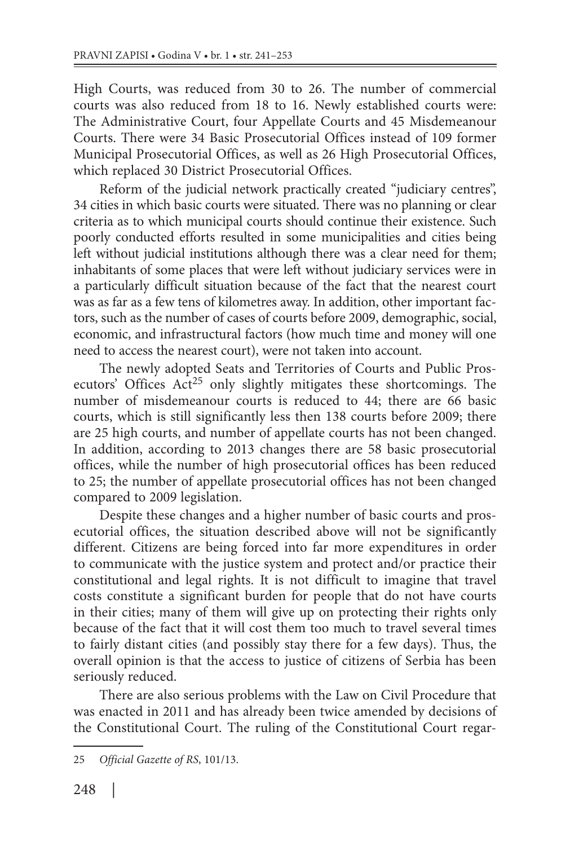High Courts, was reduced from 30 to 26. The number of commercial courts was also reduced from 18 to 16. Newly established courts were: The Administrative Court, four Appellate Courts and 45 Misdemeanour Courts. There were 34 Basic Prosecutorial Offices instead of 109 former Municipal Prosecutorial Offices, as well as 26 High Prosecutorial Offices, which replaced 30 District Prosecutorial Offices.

Reform of the judicial network practically created "judiciary centres", 34 cities in which basic courts were situated. There was no planning or clear criteria as to which municipal courts should continue their existence. Such poorly conducted efforts resulted in some municipalities and cities being left without judicial institutions although there was a clear need for them; inhabitants of some places that were left without judiciary services were in a particularly difficult situation because of the fact that the nearest court was as far as a few tens of kilometres away. In addition, other important factors, such as the number of cases of courts before 2009, demographic, social, economic, and infrastructural factors (how much time and money will one need to access the nearest court), were not taken into account.

The newly adopted Seats and Territories of Courts and Public Prosecutors' Offices Act<sup>25</sup> only slightly mitigates these shortcomings. The number of misdemeanour courts is reduced to 44; there are 66 basic courts, which is still significantly less then 138 courts before 2009; there are 25 high courts, and number of appellate courts has not been changed. In addition, according to 2013 changes there are 58 basic prosecutorial offices, while the number of high prosecutorial offices has been reduced to 25; the number of appellate prosecutorial offices has not been changed compared to 2009 legislation.

Despite these changes and a higher number of basic courts and prosecutorial offices, the situation described above will not be significantly different. Citizens are being forced into far more expenditures in order to communicate with the justice system and protect and/or practice their constitutional and legal rights. It is not difficult to imagine that travel costs constitute a significant burden for people that do not have courts in their cities; many of them will give up on protecting their rights only because of the fact that it will cost them too much to travel several times to fairly distant cities (and possibly stay there for a few days). Thus, the overall opinion is that the access to justice of citizens of Serbia has been seriously reduced.

There are also serious problems with the Law on Civil Procedure that was enacted in 2011 and has already been twice amended by decisions of the Constitutional Court. The ruling of the Constitutional Court regar-

<sup>25</sup> *Official Gazette of RS*, 101/13.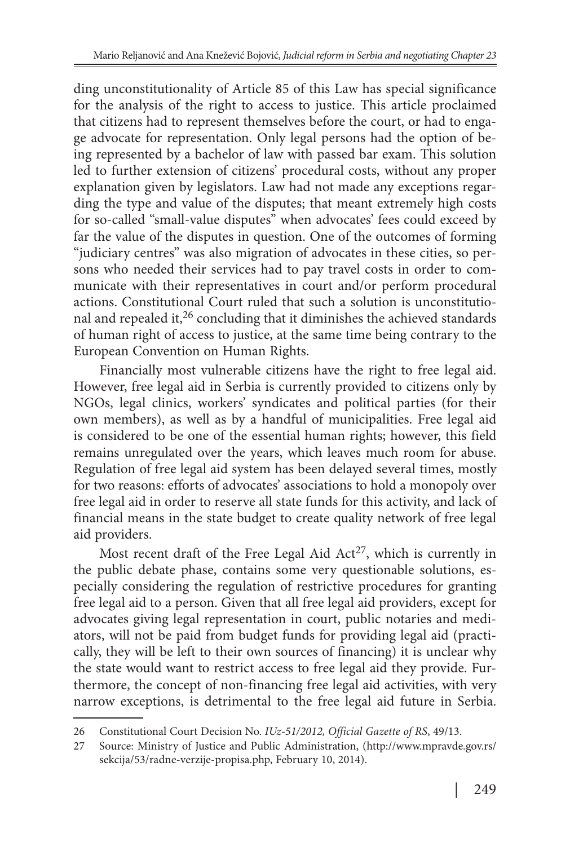ding unconstitutionality of Article 85 of this Law has special significance for the analysis of the right to access to justice. This article proclaimed that citizens had to represent themselves before the court, or had to engage advocate for representation. Only legal persons had the option of being represented by a bachelor of law with passed bar exam. This solution led to further extension of citizens' procedural costs, without any proper explanation given by legislators. Law had not made any exceptions regarding the type and value of the disputes; that meant extremely high costs for so-called "small-value disputes" when advocates' fees could exceed by far the value of the disputes in question. One of the outcomes of forming "judiciary centres" was also migration of advocates in these cities, so persons who needed their services had to pay travel costs in order to communicate with their representatives in court and/or perform procedural actions. Constitutional Court ruled that such a solution is unconstitutional and repealed it,26 concluding that it diminishes the achieved standards of human right of access to justice, at the same time being contrary to the European Convention on Human Rights.

Financially most vulnerable citizens have the right to free legal aid. However, free legal aid in Serbia is currently provided to citizens only by NGOs, legal clinics, workers' syndicates and political parties (for their own members), as well as by a handful of municipalities. Free legal aid is considered to be one of the essential human rights; however, this field remains unregulated over the years, which leaves much room for abuse. Regulation of free legal aid system has been delayed several times, mostly for two reasons: efforts of advocates' associations to hold a monopoly over free legal aid in order to reserve all state funds for this activity, and lack of financial means in the state budget to create quality network of free legal aid providers.

Most recent draft of the Free Legal Aid  $Act^{27}$ , which is currently in the public debate phase, contains some very questionable solutions, especially considering the regulation of restrictive procedures for granting free legal aid to a person. Given that all free legal aid providers, except for advocates giving legal representation in court, public notaries and mediators, will not be paid from budget funds for providing legal aid (practically, they will be left to their own sources of financing) it is unclear why the state would want to restrict access to free legal aid they provide. Furthermore, the concept of non-financing free legal aid activities, with very narrow exceptions, is detrimental to the free legal aid future in Serbia.

<sup>26</sup> Constitutional Court Decision No. *IUz-51/2012, Official Gazette of RS*, 49/13.

<sup>27</sup> Source: Ministry of Justice and Public Administration, (http://www.mpravde.gov.rs/ sekcija/53/radne-verzije-propisa.php, February 10, 2014).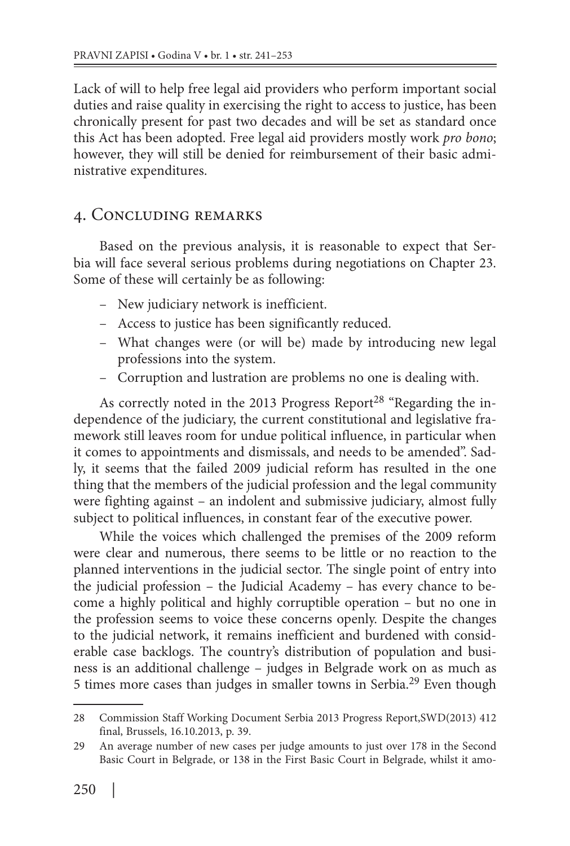Lack of will to help free legal aid providers who perform important social duties and raise quality in exercising the right to access to justice, has been chronically present for past two decades and will be set as standard once this Act has been adopted. Free legal aid providers mostly work *pro bono*; however, they will still be denied for reimbursement of their basic administrative expenditures.

#### . Concluding remarks

Based on the previous analysis, it is reasonable to expect that Serbia will face several serious problems during negotiations on Chapter 23. Some of these will certainly be as following:

- New judiciary network is inefficient.
- Access to justice has been significantly reduced.
- What changes were (or will be) made by introducing new legal professions into the system.
- Corruption and lustration are problems no one is dealing with.

As correctly noted in the 2013 Progress Report<sup>28</sup> "Regarding the independence of the judiciary, the current constitutional and legislative framework still leaves room for undue political influence, in particular when it comes to appointments and dismissals, and needs to be amended". Sadly, it seems that the failed 2009 judicial reform has resulted in the one thing that the members of the judicial profession and the legal community were fighting against – an indolent and submissive judiciary, almost fully subject to political influences, in constant fear of the executive power.

While the voices which challenged the premises of the 2009 reform were clear and numerous, there seems to be little or no reaction to the planned interventions in the judicial sector. The single point of entry into the judicial profession – the Judicial Academy – has every chance to become a highly political and highly corruptible operation – but no one in the profession seems to voice these concerns openly. Despite the changes to the judicial network, it remains inefficient and burdened with considerable case backlogs. The country's distribution of population and business is an additional challenge – judges in Belgrade work on as much as 5 times more cases than judges in smaller towns in Serbia.29 Even though

<sup>28</sup> Commission Staff Working Document Serbia 2013 Progress Report,SWD(2013) 412 final, Brussels, 16.10.2013, p. 39.

<sup>29</sup> An average number of new cases per judge amounts to just over 178 in the Second Basic Court in Belgrade, or 138 in the First Basic Court in Belgrade, whilst it amo-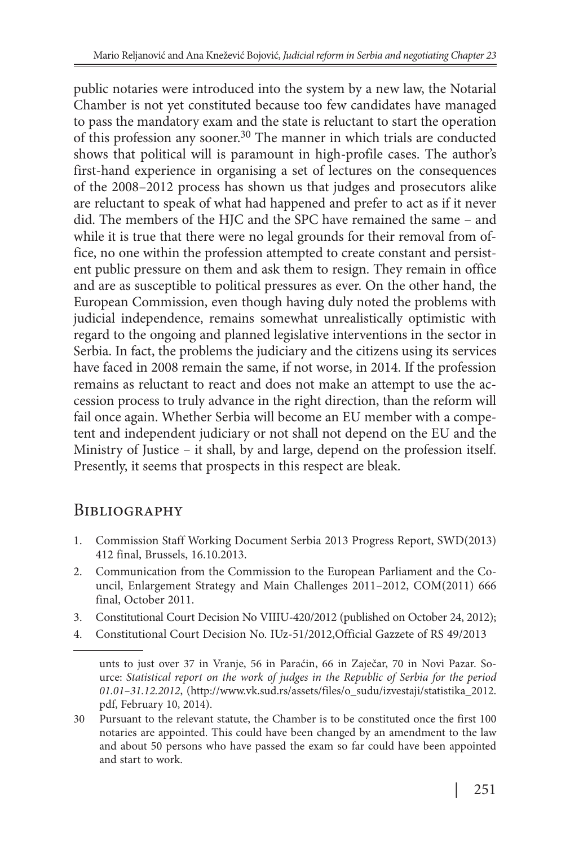public notaries were introduced into the system by a new law, the Notarial Chamber is not yet constituted because too few candidates have managed to pass the mandatory exam and the state is reluctant to start the operation of this profession any sooner.<sup>30</sup> The manner in which trials are conducted shows that political will is paramount in high-profile cases. The author's first-hand experience in organising a set of lectures on the consequences of the 2008–2012 process has shown us that judges and prosecutors alike are reluctant to speak of what had happened and prefer to act as if it never did. The members of the HJC and the SPC have remained the same – and while it is true that there were no legal grounds for their removal from office, no one within the profession attempted to create constant and persistent public pressure on them and ask them to resign. They remain in office and are as susceptible to political pressures as ever. On the other hand, the European Commission, even though having duly noted the problems with judicial independence, remains somewhat unrealistically optimistic with regard to the ongoing and planned legislative interventions in the sector in Serbia. In fact, the problems the judiciary and the citizens using its services have faced in 2008 remain the same, if not worse, in 2014. If the profession remains as reluctant to react and does not make an attempt to use the accession process to truly advance in the right direction, than the reform will fail once again. Whether Serbia will become an EU member with a competent and independent judiciary or not shall not depend on the EU and the Ministry of Justice – it shall, by and large, depend on the profession itself. Presently, it seems that prospects in this respect are bleak.

### **BIBLIOGRAPHY**

- 1. Commission Staff Working Document Serbia 2013 Progress Report, SWD(2013) 412 final, Brussels, 16.10.2013.
- 2. Communication from the Commission to the European Parliament and the Council, Enlargement Strategy and Main Challenges 2011–2012, COM(2011) 666 final, October 2011.
- 3. Constitutional Court Decision No VIIIU-420/2012 (published on October 24, 2012);
- 4. Constitutional Court Decision No. IUz-51/2012,Official Gazzete of RS 49/2013

unts to just over 37 in Vranje, 56 in Paraćin, 66 in Zaječar, 70 in Novi Pazar. Source: *Statistical report on the work of judges in the Republic of Serbia for the period 01.01–31.12.2012*, (http://www.vk.sud.rs/assets/files/o\_sudu/izvestaji/statistika\_2012. pdf, February 10, 2014).

<sup>30</sup> Pursuant to the relevant statute, the Chamber is to be constituted once the first 100 notaries are appointed. This could have been changed by an amendment to the law and about 50 persons who have passed the exam so far could have been appointed and start to work.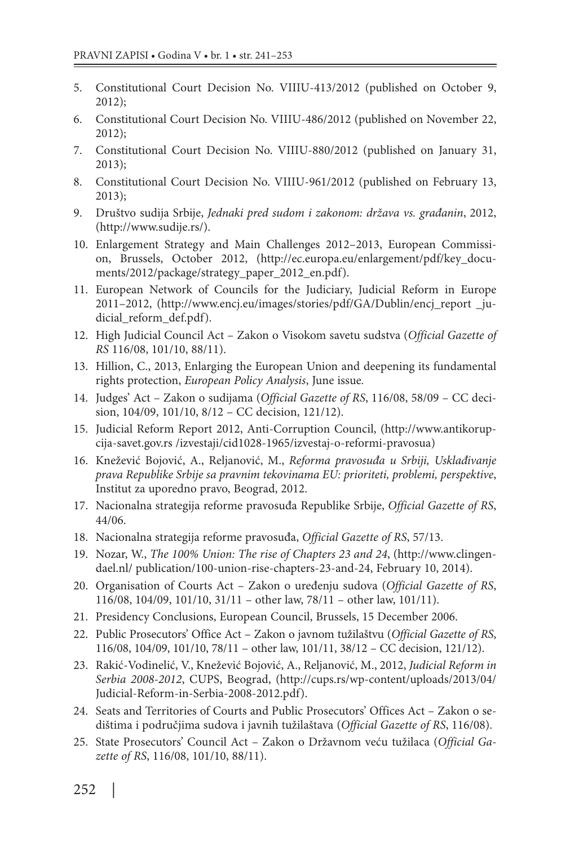- 5. Constitutional Court Decision No. VIIIU-413/2012 (published on October 9, 2012);
- 6. Constitutional Court Decision No. VIIIU-486/2012 (published on November 22, 2012);
- 7. Constitutional Court Decision No. VIIIU-880/2012 (published on January 31, 2013);
- 8. Constitutional Court Decision No. VIIIU-961/2012 (published on February 13, 2013);
- 9. Društvo sudija Srbije, *Jednaki pred sudom i zakonom: država vs. građanin*, 2012, (http://www.sudije.rs/).
- 10. Enlargement Strategy and Main Challenges 2012–2013, European Commission, Brussels, October 2012, (http://ec.europa.eu/enlargement/pdf/key\_documents/2012/package/strategy\_paper\_2012\_en.pdf).
- 11. European Network of Councils for the Judiciary, Judicial Reform in Europe 2011–2012, (http://www.encj.eu/images/stories/pdf/GA/Dublin/encj\_report \_judicial reform def.pdf).
- 12. High Judicial Council Act Zakon o Visokom savetu sudstva (*Official Gazette of RS* 116/08, 101/10, 88/11).
- 13. Hillion, C., 2013, Enlarging the European Union and deepening its fundamental rights protection, *European Policy Analysis*, June issue*.*
- 14. Judges' Act Zakon o sudijama (*Official Gazette of RS*, 116/08, 58/09 CC decision, 104/09, 101/10, 8/12 – CC decision, 121/12).
- 15. Judicial Reform Report 2012, Anti-Corruption Council, (http://www.antikorupcija-savet.gov.rs /izvestaji/cid1028-1965/izvestaj-o-reformi-pravosua)
- 16. Knežević Bojović, A., Reljanović, M., *Reforma pravosuđa u Srbiji, Usklađivanje prava Republike Srbije sa pravnim tekovinama EU: prioriteti, problemi, perspektive*, Institut za uporedno pravo, Beograd, 2012.
- 17. Nacionalna strategija reforme pravosuđa Republike Srbije, *Official Gazette of RS*, 44/06.
- 18. Nacionalna strategija reforme pravosuđa, *Official Gazette of RS*, 57/13.
- 19. Nozar, W., *The 100% Union: The rise of Chapters 23 and 24*, (http://www.clingendael.nl/ publication/100-union-rise-chapters-23-and-24, February 10, 2014).
- 20. Organisation of Courts Act Zakon o uređenju sudova (*Official Gazette of RS*, 116/08, 104/09, 101/10, 31/11 – other law, 78/11 – other law, 101/11).
- 21. Presidency Conclusions, European Council, Brussels, 15 December 2006.
- 22. Public Prosecutors' Office Act Zakon o javnom tužilaštvu (*Official Gazette of RS*, 116/08, 104/09, 101/10, 78/11 – other law, 101/11, 38/12 – CC decision, 121/12).
- 23. Rakić-Vodinelić, V., Knežević Bojović, A., Reljanović, M., 2012, *Judicial Reform in Serbia 2008-2012*, CUPS, Beograd, (http://cups.rs/wp-content/uploads/2013/04/ Judicial-Reform-in-Serbia-2008-2012.pdf).
- 24. Seats and Territories of Courts and Public Prosecutors' Offices Act Zakon o sedištima i područjima sudova i javnih tužilaštava (*Official Gazette of RS*, 116/08).
- 25. State Prosecutors' Council Act Zakon o Državnom veću tužilaca (*Official Gazette of RS*, 116/08, 101/10, 88/11).